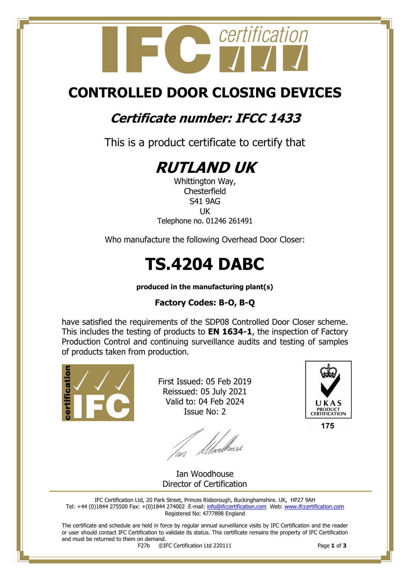

## **CONTROLLED DOOR CLOSING DEVICES**

## **Certificate number: IFCC 1433**

This is a product certificate to certify that



Whittington Way, **Chesterfield** S41 9AG UK Telephone no. 01246 261491

Who manufacture the following Overhead Door Closer:

# **TS.4204 DABC**

**produced in the manufacturing plant(s)**

#### **Factory Codes: B-O, B-Q**

have satisfied the requirements of the SDP08 Controlled Door Closer scheme. This includes the testing of products to **EN 1634-1**, the inspection of Factory Production Control and continuing surveillance audits and testing of samples of products taken from production.



First Issued: 05 Feb 2019 Reissued: 05 July 2021 Valid to: 04 Feb 2024 Issue No: 2

an *Mwellows*e



175

Ian Woodhouse Director of Certification

IFC Certification Ltd, 20 Park Street, Princes Risborough, Buckinghamshire. UK, HP27 9AH Tel: +44 (0)1844 275500 Fax: +(0)1844 274002 E-mail[: info@ifccertification.com](mailto:info@ifccertification.com) Web: [www.ifccertification.com](http://www.ifccertification.com/) Registered No: 4777898 England

The certificate and schedule are held in force by regular annual surveillance visits by IFC Certification and the reader or user should contact IFC Certification to validate its status. This certificate remains the property of IFC Certification and must be returned to them on demand.<br> $F27b$   $\odot$ I

F27b ©IFC Certification Ltd 220111 Page **1** of **3**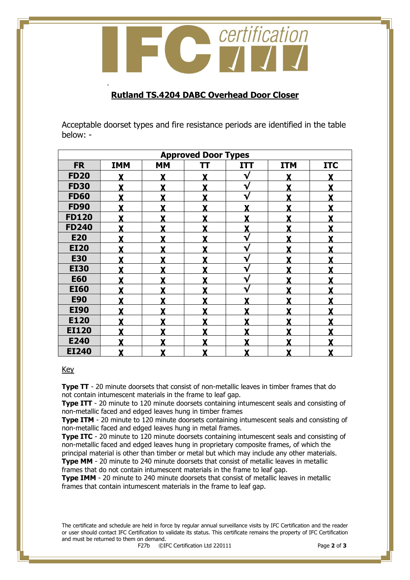

#### **Rutland TS.4204 DABC Overhead Door Closer**

Acceptable doorset types and fire resistance periods are identified in the table below: -

| <b>Approved Door Types</b> |            |           |   |            |            |            |  |  |  |
|----------------------------|------------|-----------|---|------------|------------|------------|--|--|--|
| <b>FR</b>                  | <b>IMM</b> | <b>MM</b> | π | <b>ITT</b> | <b>ITM</b> | <b>ITC</b> |  |  |  |
| <b>FD20</b>                |            | X         | X | √          | Y          | Y          |  |  |  |
| <b>FD30</b>                |            | X         | X | V          | Y          | X          |  |  |  |
| <b>FD60</b>                |            | Y         | Y | V          | v          |            |  |  |  |
| <b>FD90</b>                | Y          | Y         | Y | Y          | Y          | Y          |  |  |  |
| <b>FD120</b>               | Y          | Y         | Y | Y          | v          | Y          |  |  |  |
| <b>FD240</b>               | Y          | Y         | Y | X          | v          | v          |  |  |  |
| <b>E20</b>                 |            | Y         | Y | ₩          | v          |            |  |  |  |
| <b>EI20</b>                |            | Y         | Y | V          | Y          | Y          |  |  |  |
| <b>E30</b>                 |            | Y         |   | V          | v          |            |  |  |  |
| <b>EI30</b>                |            | Y         |   | V          | v          |            |  |  |  |
| <b>E60</b>                 | Y          | Y         | Y | V          | Y          |            |  |  |  |
| <b>EI60</b>                |            | Y         | V | V          | v          | v          |  |  |  |
| <b>E90</b>                 | v          | v         | v | v          | v          | v          |  |  |  |
| <b>EI90</b>                |            | Y         | Y |            | v          |            |  |  |  |
| E120                       |            | Y         | Y |            | v          |            |  |  |  |
| <b>EI120</b>               |            | Y         |   |            | v          |            |  |  |  |
| E240                       |            | v         |   |            |            |            |  |  |  |
| <b>EI240</b>               | X          | X         | X | X          | Y          | X          |  |  |  |

#### Key

-

**Type TT** - 20 minute doorsets that consist of non-metallic leaves in timber frames that do not contain intumescent materials in the frame to leaf gap.

**Type ITT** - 20 minute to 120 minute doorsets containing intumescent seals and consisting of non-metallic faced and edged leaves hung in timber frames

**Type ITM** - 20 minute to 120 minute doorsets containing intumescent seals and consisting of non-metallic faced and edged leaves hung in metal frames.

**Type ITC** - 20 minute to 120 minute doorsets containing intumescent seals and consisting of non-metallic faced and edged leaves hung in proprietary composite frames, of which the principal material is other than timber or metal but which may include any other materials. **Type MM** - 20 minute to 240 minute doorsets that consist of metallic leaves in metallic

frames that do not contain intumescent materials in the frame to leaf gap.

**Type IMM** - 20 minute to 240 minute doorsets that consist of metallic leaves in metallic frames that contain intumescent materials in the frame to leaf gap.

The certificate and schedule are held in force by regular annual surveillance visits by IFC Certification and the reader or user should contact IFC Certification to validate its status. This certificate remains the property of IFC Certification and must be returned to them on demand.<br> $F27b$   $\odot$ I

F27b ©IFC Certification Ltd 220111 Page **2** of **3**